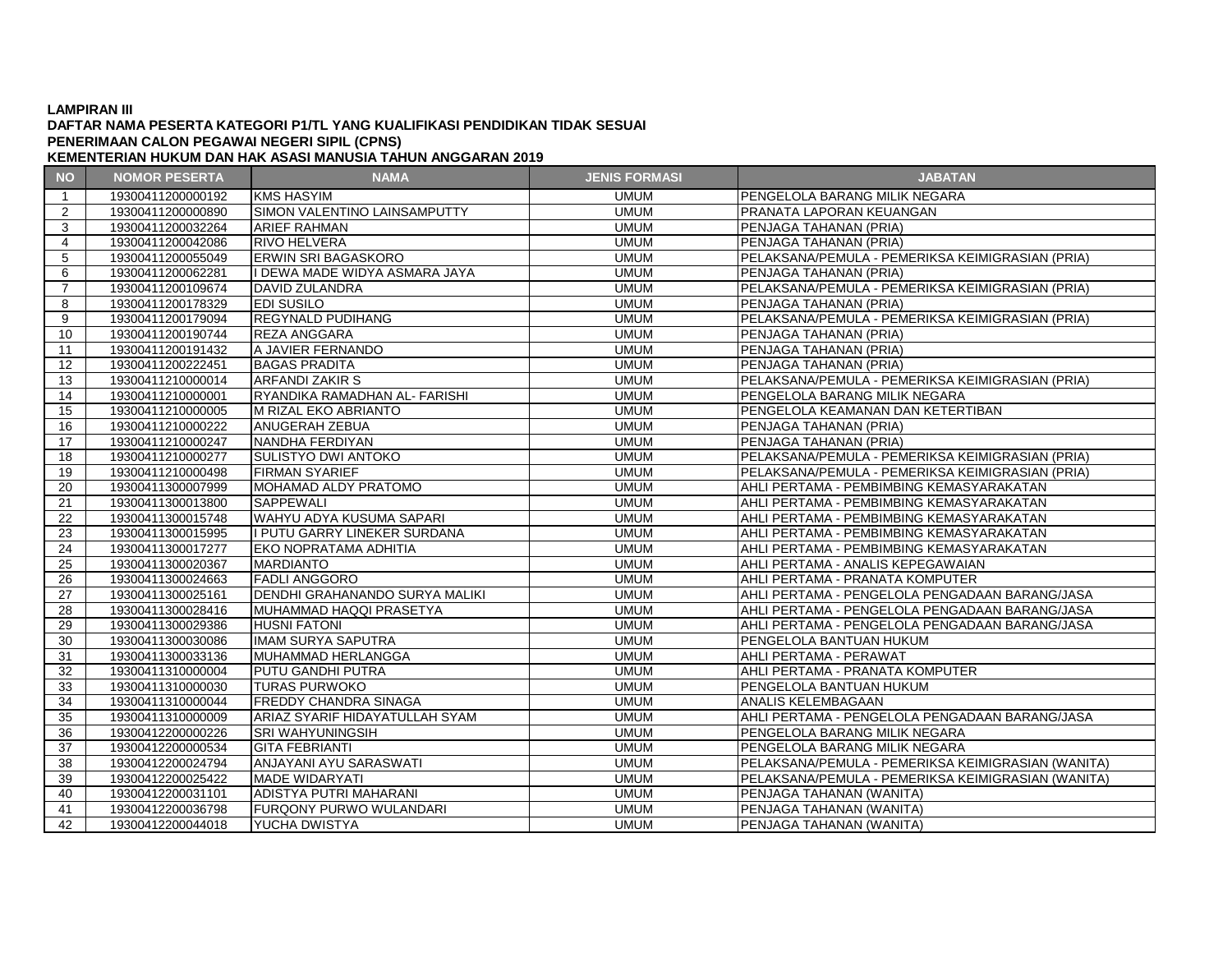## **LAMPIRAN III**

## **DAFTAR NAMA PESERTA KATEGORI P1/TL YANG KUALIFIKASI PENDIDIKAN TIDAK SESUAI PENERIMAAN CALON PEGAWAI NEGERI SIPIL (CPNS)**

**KEMENTERIAN HUKUM DAN HAK ASASI MANUSIA TAHUN ANGGARAN 2019**

| <b>NO</b>         | <b>NOMOR PESERTA</b> | <b>NAMA</b>                           | <b>JENIS FORMASI</b> | <b>JABATAN</b>                                     |
|-------------------|----------------------|---------------------------------------|----------------------|----------------------------------------------------|
| $\overline{1}$    | 19300411200000192    | <b>KMS HASYIM</b>                     | <b>UMUM</b>          | PENGELOLA BARANG MILIK NEGARA                      |
| 2                 | 19300411200000890    | SIMON VALENTINO LAINSAMPUTTY          | <b>UMUM</b>          | PRANATA LAPORAN KEUANGAN                           |
| 3                 | 19300411200032264    | <b>ARIEF RAHMAN</b>                   | <b>UMUM</b>          | PENJAGA TAHANAN (PRIA)                             |
| 4                 | 19300411200042086    | <b>RIVO HELVERA</b>                   | <b>UMUM</b>          | PENJAGA TAHANAN (PRIA)                             |
| 5                 | 19300411200055049    | <b>ERWIN SRI BAGASKORO</b>            | <b>UMUM</b>          | PELAKSANA/PEMULA - PEMERIKSA KEIMIGRASIAN (PRIA)   |
| 6                 | 19300411200062281    | II DEWA MADE WIDYA ASMARA JAYA        | <b>UMUM</b>          | PENJAGA TAHANAN (PRIA)                             |
| $\overline{7}$    | 19300411200109674    | <b>DAVID ZULANDRA</b>                 | <b>UMUM</b>          | PELAKSANA/PEMULA - PEMERIKSA KEIMIGRASIAN (PRIA)   |
| 8                 | 19300411200178329    | <b>EDI SUSILO</b>                     | <b>UMUM</b>          | PENJAGA TAHANAN (PRIA)                             |
| 9                 | 19300411200179094    | <b>REGYNALD PUDIHANG</b>              | <b>UMUM</b>          | PELAKSANA/PEMULA - PEMERIKSA KEIMIGRASIAN (PRIA)   |
| 10                | 19300411200190744    | <b>REZA ANGGARA</b>                   | <b>UMUM</b>          | PENJAGA TAHANAN (PRIA)                             |
| 11                | 19300411200191432    | A JAVIER FERNANDO                     | <b>UMUM</b>          | PENJAGA TAHANAN (PRIA)                             |
| $12 \overline{ }$ | 19300411200222451    | <b>BAGAS PRADITA</b>                  | <b>UMUM</b>          | PENJAGA TAHANAN (PRIA)                             |
| 13                | 19300411210000014    | <b>ARFANDI ZAKIR S</b>                | <b>UMUM</b>          | PELAKSANA/PEMULA - PEMERIKSA KEIMIGRASIAN (PRIA)   |
| 14                | 19300411210000001    | RYANDIKA RAMADHAN AL- FARISHI         | <b>UMUM</b>          | PENGELOLA BARANG MILIK NEGARA                      |
| 15                | 19300411210000005    | M RIZAL EKO ABRIANTO                  | <b>UMUM</b>          | PENGELOLA KEAMANAN DAN KETERTIBAN                  |
| 16                | 19300411210000222    | <b>ANUGERAH ZEBUA</b>                 | <b>UMUM</b>          | PENJAGA TAHANAN (PRIA)                             |
| 17                | 19300411210000247    | NANDHA FERDIYAN                       | <b>UMUM</b>          | PENJAGA TAHANAN (PRIA)                             |
| 18                | 19300411210000277    | <b>SULISTYO DWI ANTOKO</b>            | <b>UMUM</b>          | PELAKSANA/PEMULA - PEMERIKSA KEIMIGRASIAN (PRIA)   |
| 19                | 19300411210000498    | <b>FIRMAN SYARIEF</b>                 | <b>UMUM</b>          | PELAKSANA/PEMULA - PEMERIKSA KEIMIGRASIAN (PRIA)   |
| 20                | 19300411300007999    | MOHAMAD ALDY PRATOMO                  | <b>UMUM</b>          | AHLI PERTAMA - PEMBIMBING KEMASYARAKATAN           |
| 21                | 19300411300013800    | <b>SAPPEWALI</b>                      | <b>UMUM</b>          | AHLI PERTAMA - PEMBIMBING KEMASYARAKATAN           |
| 22                | 19300411300015748    | WAHYU ADYA KUSUMA SAPARI              | <b>UMUM</b>          | AHLI PERTAMA - PEMBIMBING KEMASYARAKATAN           |
| 23                | 19300411300015995    | II PUTU GARRY LINEKER SURDANA         | <b>UMUM</b>          | AHLI PERTAMA - PEMBIMBING KEMASYARAKATAN           |
| 24                | 19300411300017277    | <b>EKO NOPRATAMA ADHITIA</b>          | <b>UMUM</b>          | AHLI PERTAMA - PEMBIMBING KEMASYARAKATAN           |
| 25                | 19300411300020367    | <b>MARDIANTO</b>                      | <b>UMUM</b>          | AHLI PERTAMA - ANALIS KEPEGAWAIAN                  |
| 26                | 19300411300024663    | <b>FADLI ANGGORO</b>                  | <b>UMUM</b>          | AHLI PERTAMA - PRANATA KOMPUTER                    |
| 27                | 19300411300025161    | <b>DENDHI GRAHANANDO SURYA MALIKI</b> | <b>UMUM</b>          | AHLI PERTAMA - PENGELOLA PENGADAAN BARANG/JASA     |
| 28                | 19300411300028416    | MUHAMMAD HAQQI PRASETYA               | <b>UMUM</b>          | AHLI PERTAMA - PENGELOLA PENGADAAN BARANG/JASA     |
| 29                | 19300411300029386    | <b>HUSNI FATONI</b>                   | <b>UMUM</b>          | AHLI PERTAMA - PENGELOLA PENGADAAN BARANG/JASA     |
| 30                | 19300411300030086    | <b>IMAM SURYA SAPUTRA</b>             | <b>UMUM</b>          | PENGELOLA BANTUAN HUKUM                            |
| 31                | 19300411300033136    | MUHAMMAD HERLANGGA                    | <b>UMUM</b>          | AHLI PERTAMA - PERAWAT                             |
| 32                | 19300411310000004    | <b>PUTU GANDHI PUTRA</b>              | <b>UMUM</b>          | AHLI PERTAMA - PRANATA KOMPUTER                    |
| 33                | 19300411310000030    | <b>TURAS PURWOKO</b>                  | <b>UMUM</b>          | PENGELOLA BANTUAN HUKUM                            |
| 34                | 19300411310000044    | <b>FREDDY CHANDRA SINAGA</b>          | <b>UMUM</b>          | <b>ANALIS KELEMBAGAAN</b>                          |
| 35                | 19300411310000009    | ARIAZ SYARIF HIDAYATULLAH SYAM        | <b>UMUM</b>          | AHLI PERTAMA - PENGELOLA PENGADAAN BARANG/JASA     |
| 36                | 19300412200000226    | <b>SRI WAHYUNINGSIH</b>               | <b>UMUM</b>          | PENGELOLA BARANG MILIK NEGARA                      |
| 37                | 19300412200000534    | <b>GITA FEBRIANTI</b>                 | <b>UMUM</b>          | PENGELOLA BARANG MILIK NEGARA                      |
| 38                | 19300412200024794    | ANJAYANI AYU SARASWATI                | <b>UMUM</b>          | PELAKSANA/PEMULA - PEMERIKSA KEIMIGRASIAN (WANITA) |
| 39                | 19300412200025422    | <b>MADE WIDARYATI</b>                 | <b>UMUM</b>          | PELAKSANA/PEMULA - PEMERIKSA KEIMIGRASIAN (WANITA) |
| 40                | 19300412200031101    | ADISTYA PUTRI MAHARANI                | <b>UMUM</b>          | PENJAGA TAHANAN (WANITA)                           |
| 41                | 19300412200036798    | <b>FURQONY PURWO WULANDARI</b>        | <b>UMUM</b>          | PENJAGA TAHANAN (WANITA)                           |
| 42                | 19300412200044018    | YUCHA DWISTYA                         | <b>UMUM</b>          | PENJAGA TAHANAN (WANITA)                           |